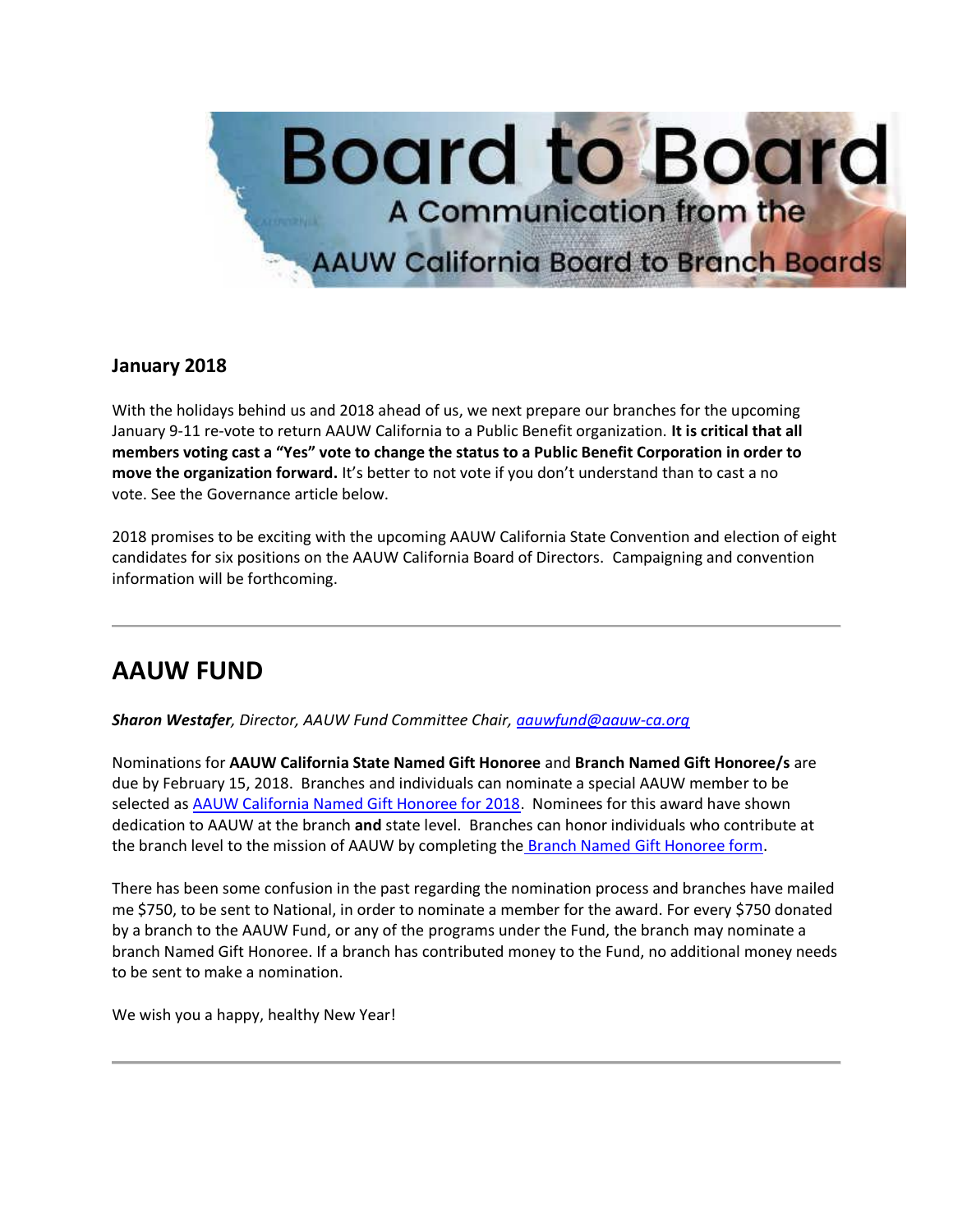

#### **January 2018**

With the holidays behind us and 2018 ahead of us, we next prepare our branches for the upcoming January 9-11 re-vote to return AAUW California to a Public Benefit organization. **It is critical that all members voting cast a "Yes" vote to change the status to a Public Benefit Corporation in order to move the organization forward.** It's better to not vote if you don't understand than to cast a no vote. See the Governance article below.

2018 promises to be exciting with the upcoming AAUW California State Convention and election of eight candidates for six positions on the AAUW California Board of Directors. Campaigning and convention information will be forthcoming.

# **AAUW FUND**

*Sharon Westafer, Director, AAUW Fund Committee Chair, [aauwfund@aauw-ca.org](mailto:aauwfund@aauw-ca.org)*

Nominations for **AAUW California State Named Gift Honoree** and **Branch Named Gift Honoree/s** are due by February 15, 2018. Branches and individuals can nominate a special AAUW member to be selected as [AAUW California Named Gift Honoree for 2018.](https://bor.aauw-ca.org/sendy/l/YlrJ763AeyF892b51vFm0EptRw/k1CxJQjmkg4Vl08920thH2Kg/CeIbssn3RE2ljVzeuVwXDw) Nominees for this award have shown dedication to AAUW at the branch **and** state level. Branches can honor individuals who contribute at the branch level to the mission of AAUW by completing the **Branch Named Gift Honoree form**.

There has been some confusion in the past regarding the nomination process and branches have mailed me \$750, to be sent to National, in order to nominate a member for the award. For every \$750 donated by a branch to the AAUW Fund, or any of the programs under the Fund, the branch may nominate a branch Named Gift Honoree. If a branch has contributed money to the Fund, no additional money needs to be sent to make a nomination.

We wish you a happy, healthy New Year!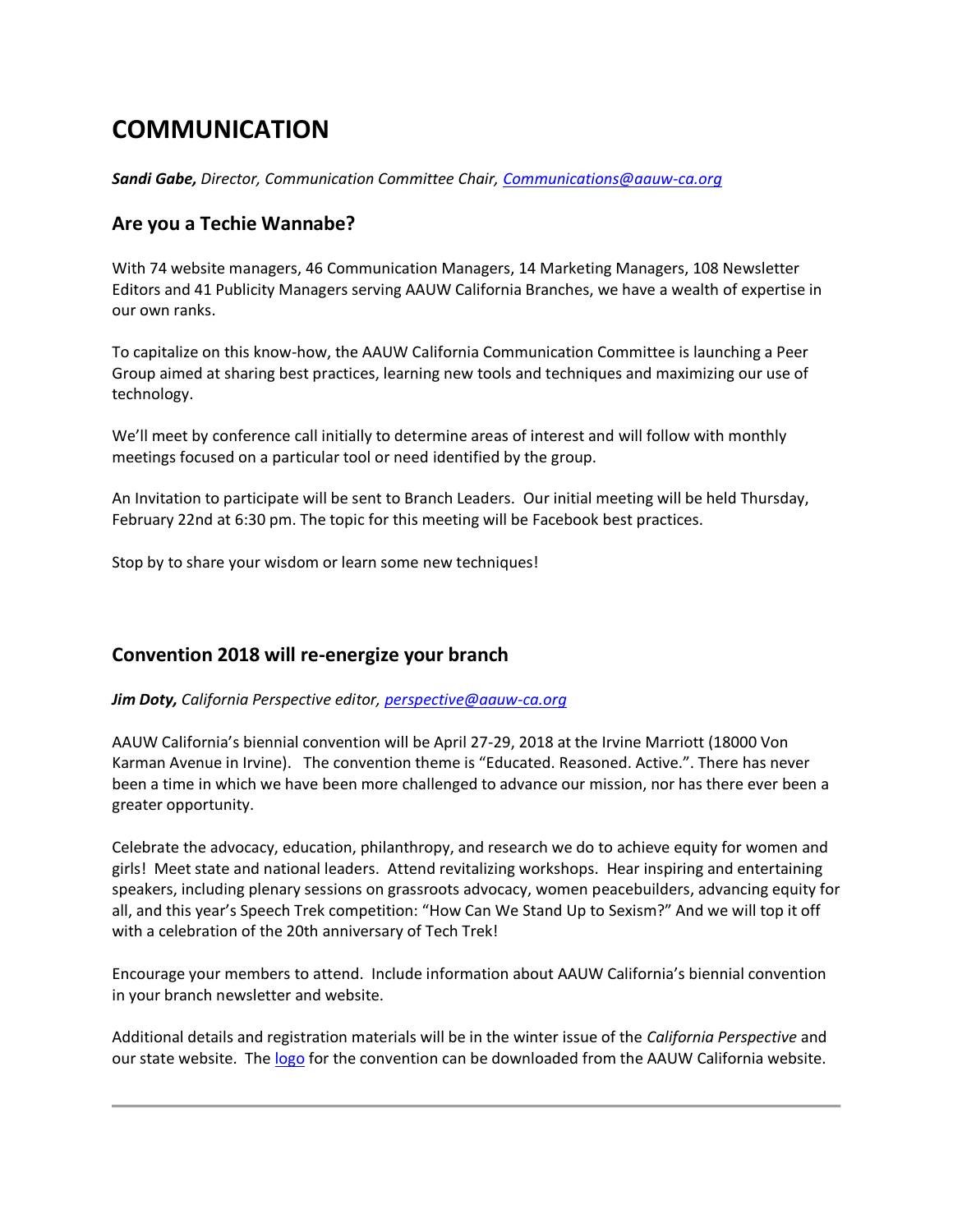# **COMMUNICATION**

*Sandi Gabe, Director, Communication Committee Chair, [Communications@aauw-ca.org](mailto:Communications@aauw-ca.org)*

#### **Are you a Techie Wannabe?**

With 74 website managers, 46 Communication Managers, 14 Marketing Managers, 108 Newsletter Editors and 41 Publicity Managers serving AAUW California Branches, we have a wealth of expertise in our own ranks.

To capitalize on this know-how, the AAUW California Communication Committee is launching a Peer Group aimed at sharing best practices, learning new tools and techniques and maximizing our use of technology.

We'll meet by conference call initially to determine areas of interest and will follow with monthly meetings focused on a particular tool or need identified by the group.

An Invitation to participate will be sent to Branch Leaders. Our initial meeting will be held Thursday, February 22nd at 6:30 pm. The topic for this meeting will be Facebook best practices.

Stop by to share your wisdom or learn some new techniques!

#### **Convention 2018 will re-energize your branch**

*Jim Doty, California Perspective editor, [perspective@aauw-ca.org](mailto:perspective@aauw-ca.org)*

AAUW California's biennial convention will be April 27-29, 2018 at the Irvine Marriott (18000 Von Karman Avenue in Irvine). The convention theme is "Educated. Reasoned. Active.". There has never been a time in which we have been more challenged to advance our mission, nor has there ever been a greater opportunity.

Celebrate the advocacy, education, philanthropy, and research we do to achieve equity for women and girls! Meet state and national leaders. Attend revitalizing workshops. Hear inspiring and entertaining speakers, including plenary sessions on grassroots advocacy, women peacebuilders, advancing equity for all, and this year's Speech Trek competition: "How Can We Stand Up to Sexism?" And we will top it off with a celebration of the 20th anniversary of Tech Trek!

Encourage your members to attend. Include information about AAUW California's biennial convention in your branch newsletter and website.

Additional details and registration materials will be in the winter issue of the *California Perspective* and our state website. Th[e logo](https://bor.aauw-ca.org/sendy/l/YlrJ763AeyF892b51vFm0EptRw/fUnj5SnAD6MYwwhA0L01zg/CeIbssn3RE2ljVzeuVwXDw) for the convention can be downloaded from the AAUW California website.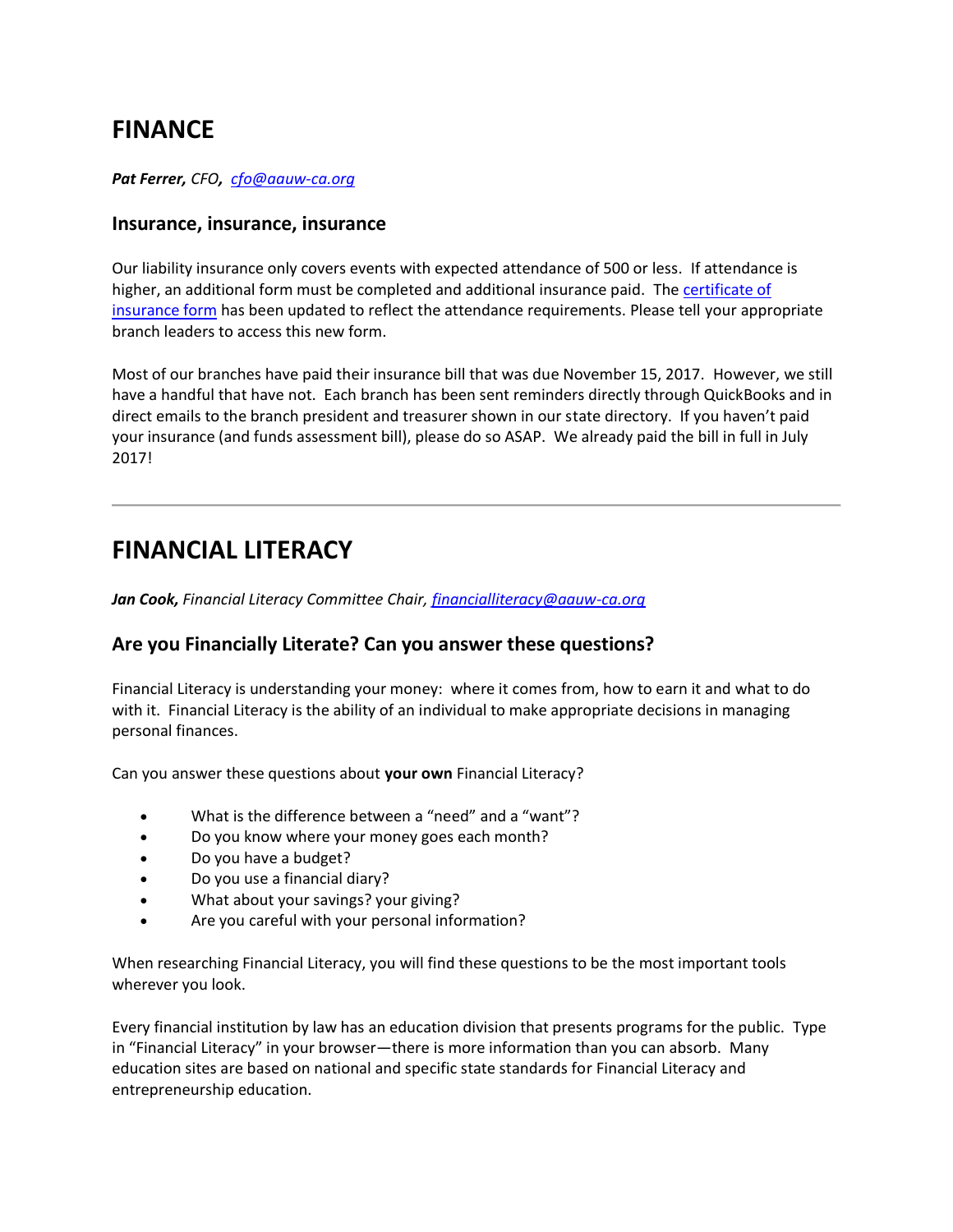### **FINANCE**

*Pat Ferrer, CFO, [cfo@aauw-ca.org](mailto:CFO@aauw-ca.org)*

#### **Insurance, insurance, insurance**

Our liability insurance only covers events with expected attendance of 500 or less. If attendance is higher, an additional form must be completed and additional insurance paid. The certificate of [insurance form](https://bor.aauw-ca.org/sendy/l/YlrJ763AeyF892b51vFm0EptRw/kTSExEtkYLWaAEytHhnLDg/CeIbssn3RE2ljVzeuVwXDw) has been updated to reflect the attendance requirements. Please tell your appropriate branch leaders to access this new form.

Most of our branches have paid their insurance bill that was due November 15, 2017. However, we still have a handful that have not. Each branch has been sent reminders directly through QuickBooks and in direct emails to the branch president and treasurer shown in our state directory. If you haven't paid your insurance (and funds assessment bill), please do so ASAP. We already paid the bill in full in July 2017!

### **FINANCIAL LITERACY**

*Jan Cook, Financial Literacy Committee Chair, [financialliteracy@aauw-ca.org](mailto:financialliteracy@aauw-ca.org)*

#### **Are you Financially Literate? Can you answer these questions?**

Financial Literacy is understanding your money: where it comes from, how to earn it and what to do with it. Financial Literacy is the ability of an individual to make appropriate decisions in managing personal finances.

Can you answer these questions about **your own** Financial Literacy?

- What is the difference between a "need" and a "want"?
- Do you know where your money goes each month?
- Do you have a budget?
- Do you use a financial diary?
- What about your savings? your giving?
- Are you careful with your personal information?

When researching Financial Literacy, you will find these questions to be the most important tools wherever you look.

Every financial institution by law has an education division that presents programs for the public. Type in "Financial Literacy" in your browser—there is more information than you can absorb. Many education sites are based on national and specific state standards for Financial Literacy and entrepreneurship education.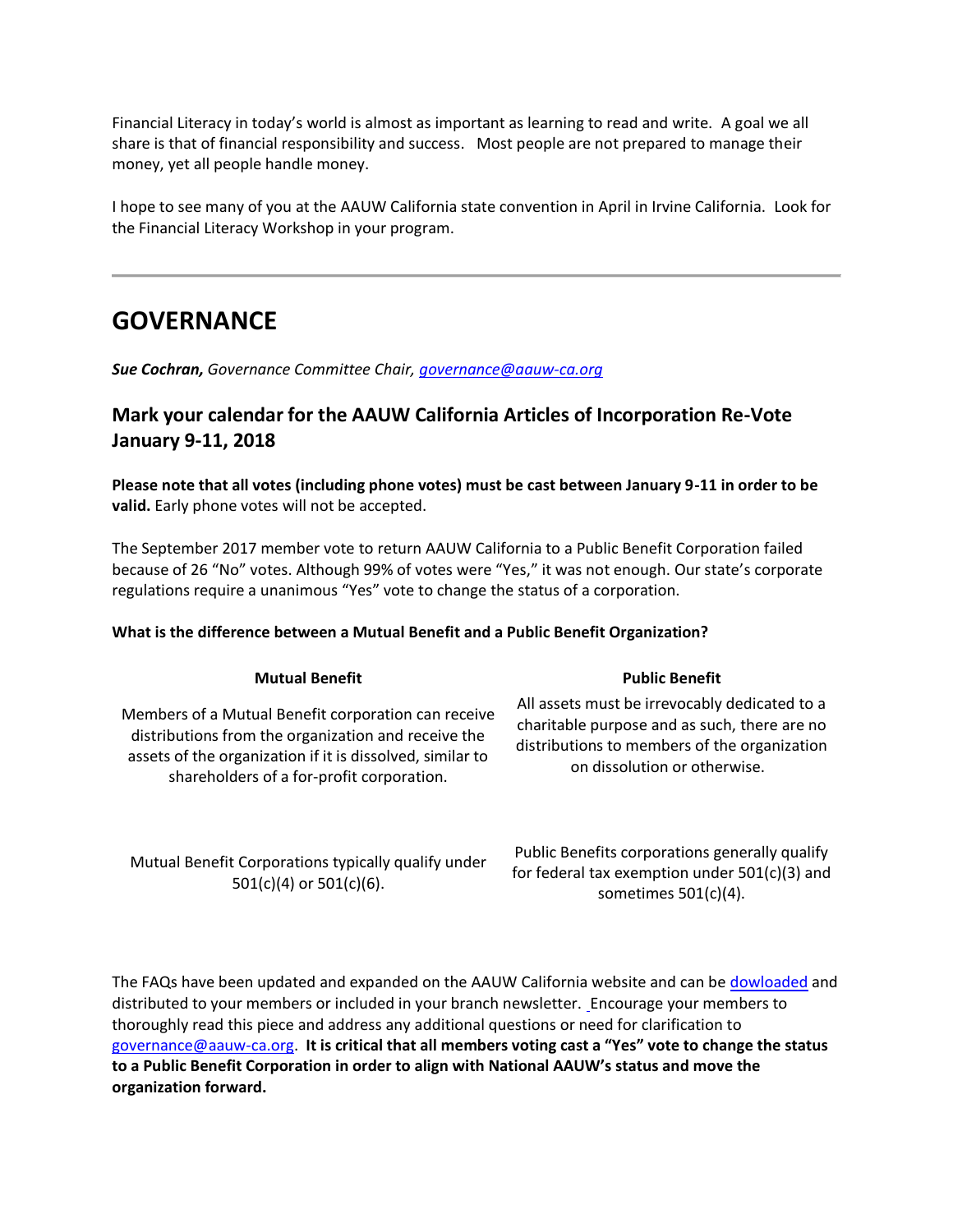Financial Literacy in today's world is almost as important as learning to read and write. A goal we all share is that of financial responsibility and success. Most people are not prepared to manage their money, yet all people handle money.

I hope to see many of you at the AAUW California state convention in April in Irvine California. Look for the Financial Literacy Workshop in your program.

### **GOVERNANCE**

*Sue Cochran, Governance Committee Chair, [governance@aauw-ca.org](mailto:governance@aauw-ca.org)*

### **Mark your calendar for the AAUW California Articles of Incorporation Re-Vote January 9-11, 2018**

**Please note that all votes (including phone votes) must be cast between January 9-11 in order to be valid.** Early phone votes will not be accepted.

The September 2017 member vote to return AAUW California to a Public Benefit Corporation failed because of 26 "No" votes. Although 99% of votes were "Yes," it was not enough. Our state's corporate regulations require a unanimous "Yes" vote to change the status of a corporation.

#### **What is the difference between a Mutual Benefit and a Public Benefit Organization?**

| Members of a Mutual Benefit corporation can receive       |
|-----------------------------------------------------------|
| distributions from the organization and receive the       |
| assets of the organization if it is dissolved, similar to |
| shareholders of a for-profit corporation.                 |
|                                                           |

#### Mutual Benefit Corporations typically qualify under 501(c)(4) or 501(c)(6).

Public Benefits corporations generally qualify for federal tax exemption under 501(c)(3) and sometimes 501(c)(4).

The FAQs have been updated and expanded on the AAUW California website and can be [dowloaded](https://bor.aauw-ca.org/sendy/l/YlrJ763AeyF892b51vFm0EptRw/3892VLUShIkxPXliMTuq5V8Q/CeIbssn3RE2ljVzeuVwXDw) and distributed to your members or included in your branch newsletter. [E](https://bor.aauw-ca.org/sendy/l/YlrJ763AeyF892b51vFm0EptRw/ybbfMmHStHvGQMhrez2HBA/CeIbssn3RE2ljVzeuVwXDw)ncourage your members to thoroughly read this piece and address any additional questions or need for clarification to [governance@aauw-ca.org.](mailto:governance@aauw-ca.org) **It is critical that all members voting cast a "Yes" vote to change the status to a Public Benefit Corporation in order to align with National AAUW's status and move the organization forward.**

#### **Mutual Benefit Public Benefit**

All assets must be irrevocably dedicated to a charitable purpose and as such, there are no distributions to members of the organization on dissolution or otherwise.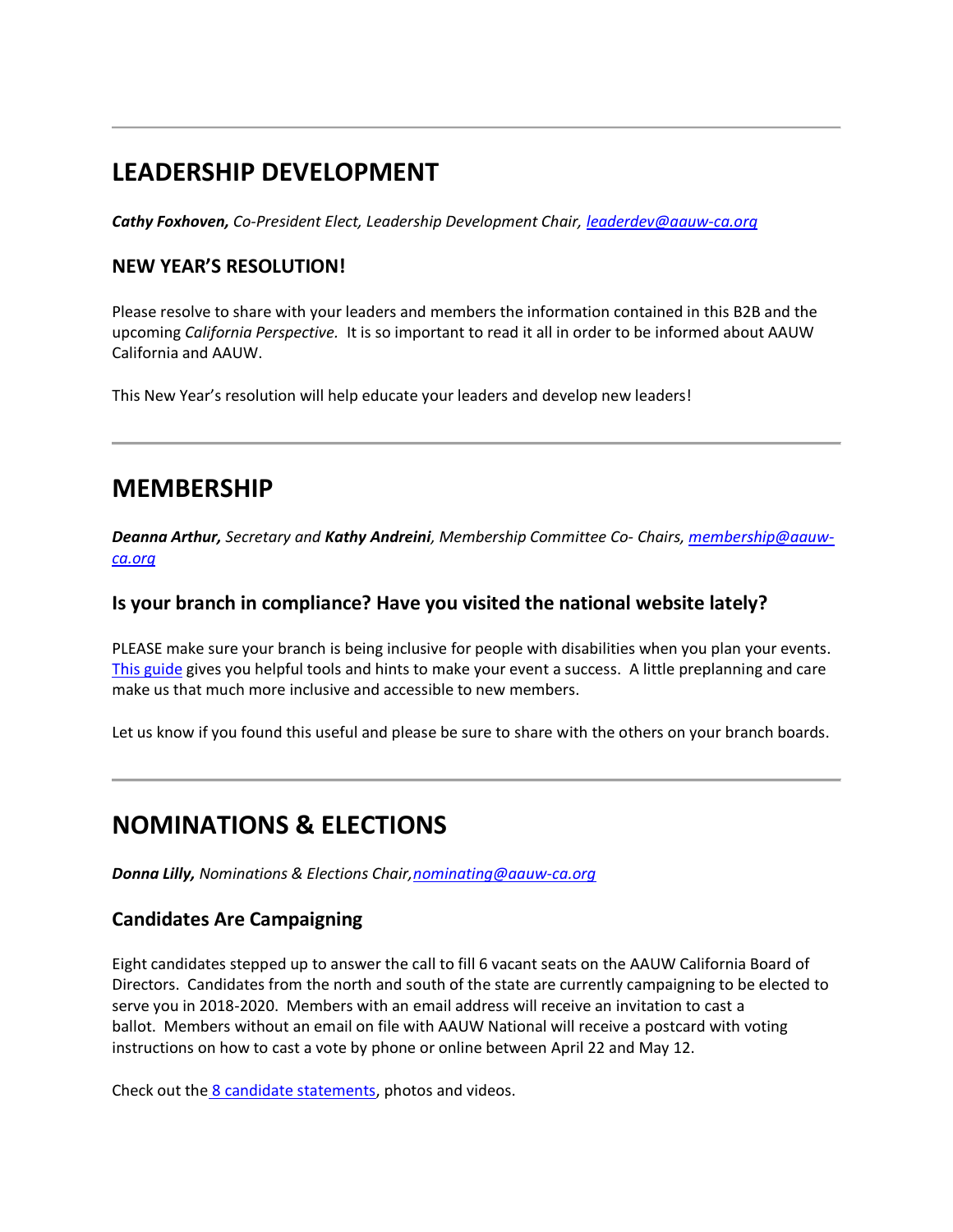# **LEADERSHIP DEVELOPMENT**

*Cathy Foxhoven, Co-President Elect, Leadership Development Chair, [leaderdev@aauw-ca.org](mailto:leaderdev@aauw-ca.org)*

#### **NEW YEAR'S RESOLUTION!**

Please resolve to share with your leaders and members the information contained in this B2B and the upcoming *California Perspective.* It is so important to read it all in order to be informed about AAUW California and AAUW.

This New Year's resolution will help educate your leaders and develop new leaders!

### **MEMBERSHIP**

*Deanna Arthur, Secretary and Kathy Andreini, Membership Committee Co- Chairs[, membership@aauw](mailto:membership@aauw-ca.org)[ca.org](mailto:membership@aauw-ca.org)*

#### **Is your branch in compliance? Have you visited the national website lately?**

PLEASE make sure your branch is being inclusive for people with disabilities when you plan your events. [This guide](https://bor.aauw-ca.org/sendy/l/YlrJ763AeyF892b51vFm0EptRw/QaFTmIOq763WfRPcXLfu9e892w/CeIbssn3RE2ljVzeuVwXDw) gives you helpful tools and hints to make your event a success. A little preplanning and care make us that much more inclusive and accessible to new members.

Let us know if you found this useful and please be sure to share with the others on your branch boards.

# **NOMINATIONS & ELECTIONS**

*Donna Lilly, Nominations & Elections Chair[,nominating@aauw-ca.org](mailto:nominating@aauw-ca.org)*

#### **Candidates Are Campaigning**

Eight candidates stepped up to answer the call to fill 6 vacant seats on the AAUW California Board of Directors. Candidates from the north and south of the state are currently campaigning to be elected to serve you in 2018-2020. Members with an email address will receive an invitation to cast a ballot. Members without an email on file with AAUW National will receive a postcard with voting instructions on how to cast a vote by phone or online between April 22 and May 12.

Check out the [8 candidate statements,](https://bor.aauw-ca.org/sendy/l/YlrJ763AeyF892b51vFm0EptRw/iUNXroDyAI5o7YnE303A8w/CeIbssn3RE2ljVzeuVwXDw) photos and videos.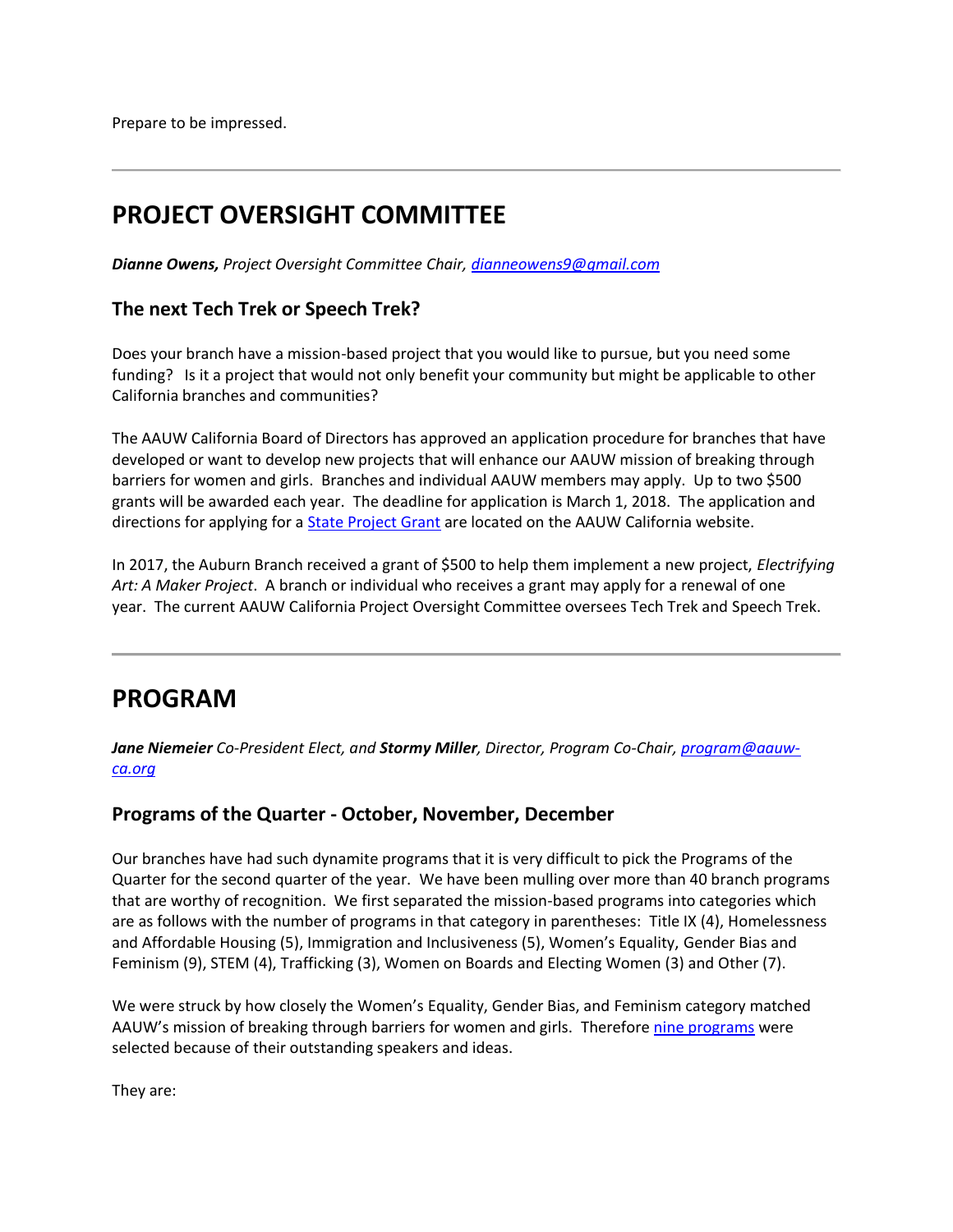Prepare to be impressed.

# **PROJECT OVERSIGHT COMMITTEE**

*Dianne Owens, Project Oversight Committee Chair[, dianneowens9@gmail.com](mailto:dianneowens9@gmail.com)*

#### **The next Tech Trek or Speech Trek?**

Does your branch have a mission-based project that you would like to pursue, but you need some funding? Is it a project that would not only benefit your community but might be applicable to other California branches and communities?

The AAUW California Board of Directors has approved an application procedure for branches that have developed or want to develop new projects that will enhance our AAUW mission of breaking through barriers for women and girls. Branches and individual AAUW members may apply. Up to two \$500 grants will be awarded each year. The deadline for application is March 1, 2018. The application and directions for applying for a **State Project Grant** are located on the AAUW California website.

In 2017, the Auburn Branch received a grant of \$500 to help them implement a new project, *Electrifying Art: A Maker Project*. A branch or individual who receives a grant may apply for a renewal of one year. The current AAUW California Project Oversight Committee oversees Tech Trek and Speech Trek.

### **PROGRAM**

*Jane Niemeier Co-President Elect, and Stormy Miller, Director, Program Co-Chair[, program@aauw](mailto:program@aauw-ca.org)[ca.org](mailto:program@aauw-ca.org)*

#### **Programs of the Quarter - October, November, December**

Our branches have had such dynamite programs that it is very difficult to pick the Programs of the Quarter for the second quarter of the year. We have been mulling over more than 40 branch programs that are worthy of recognition. We first separated the mission-based programs into categories which are as follows with the number of programs in that category in parentheses: Title IX (4), Homelessness and Affordable Housing (5), Immigration and Inclusiveness (5), Women's Equality, Gender Bias and Feminism (9), STEM (4), Trafficking (3), Women on Boards and Electing Women (3) and Other (7).

We were struck by how closely the Women's Equality, Gender Bias, and Feminism category matched AAUW's mission of breaking through barriers for women and girls. Therefore [nine programs](https://bor.aauw-ca.org/sendy/l/YlrJ763AeyF892b51vFm0EptRw/geRaiLleTWc6qetrdmEV0Q/CeIbssn3RE2ljVzeuVwXDw) were selected because of their outstanding speakers and ideas.

They are: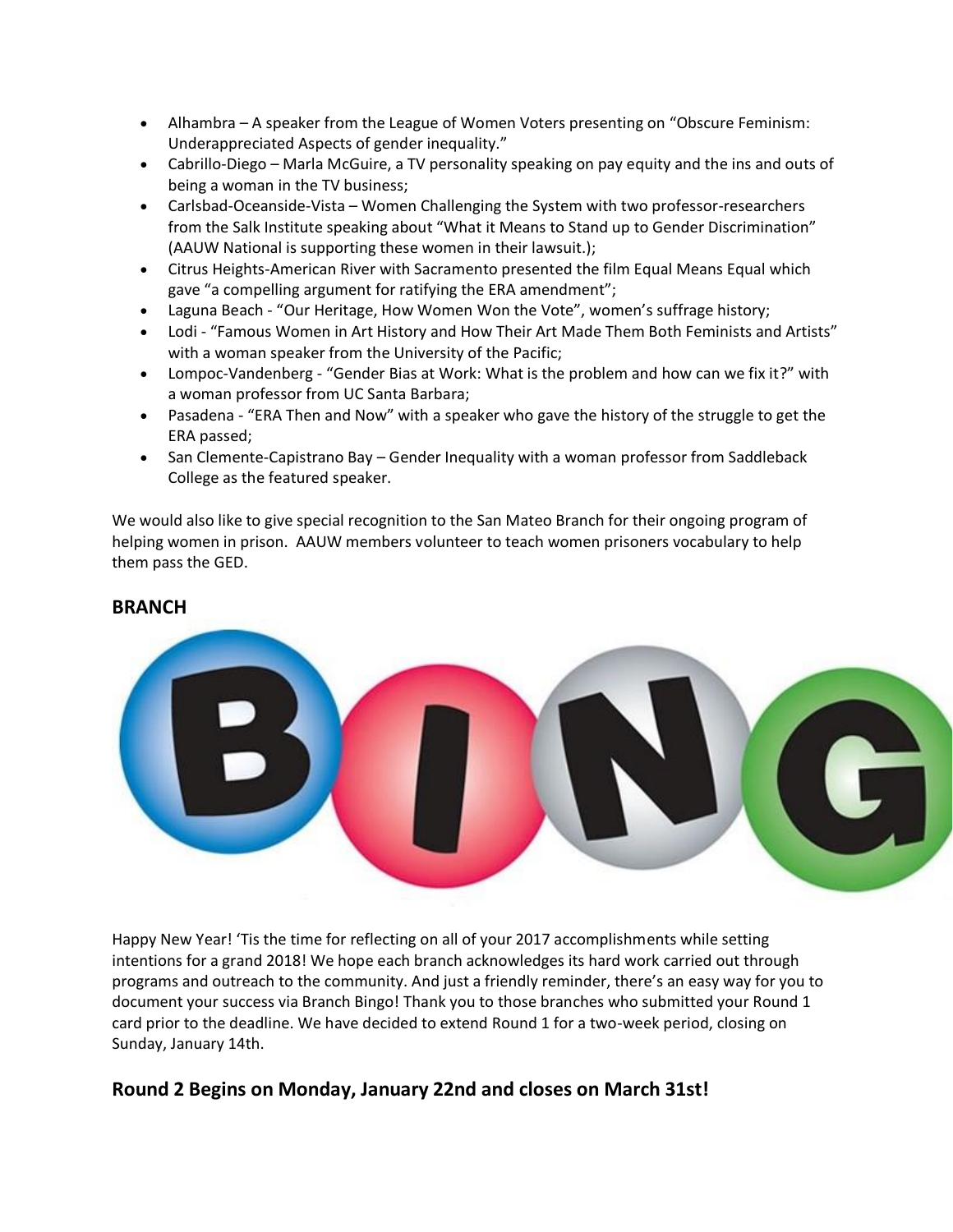- Alhambra A speaker from the League of Women Voters presenting on "Obscure Feminism: Underappreciated Aspects of gender inequality."
- Cabrillo-Diego Marla McGuire, a TV personality speaking on pay equity and the ins and outs of being a woman in the TV business;
- Carlsbad-Oceanside-Vista Women Challenging the System with two professor-researchers from the Salk Institute speaking about "What it Means to Stand up to Gender Discrimination" (AAUW National is supporting these women in their lawsuit.);
- Citrus Heights-American River with Sacramento presented the film Equal Means Equal which gave "a compelling argument for ratifying the ERA amendment";
- Laguna Beach "Our Heritage, How Women Won the Vote", women's suffrage history;
- Lodi "Famous Women in Art History and How Their Art Made Them Both Feminists and Artists" with a woman speaker from the University of the Pacific;
- Lompoc-Vandenberg "Gender Bias at Work: What is the problem and how can we fix it?" with a woman professor from UC Santa Barbara;
- Pasadena "ERA Then and Now" with a speaker who gave the history of the struggle to get the ERA passed;
- San Clemente-Capistrano Bay Gender Inequality with a woman professor from Saddleback College as the featured speaker.

We would also like to give special recognition to the San Mateo Branch for their ongoing program of helping women in prison. AAUW members volunteer to teach women prisoners vocabulary to help them pass the GED.

#### **BRANCH**



Happy New Year! 'Tis the time for reflecting on all of your 2017 accomplishments while setting intentions for a grand 2018! We hope each branch acknowledges its hard work carried out through programs and outreach to the community. And just a friendly reminder, there's an easy way for you to document your success via Branch Bingo! Thank you to those branches who submitted your Round 1 card prior to the deadline. We have decided to extend Round 1 for a two-week period, closing on Sunday, January 14th.

### **Round 2 Begins on Monday, January 22nd and closes on March 31st!**